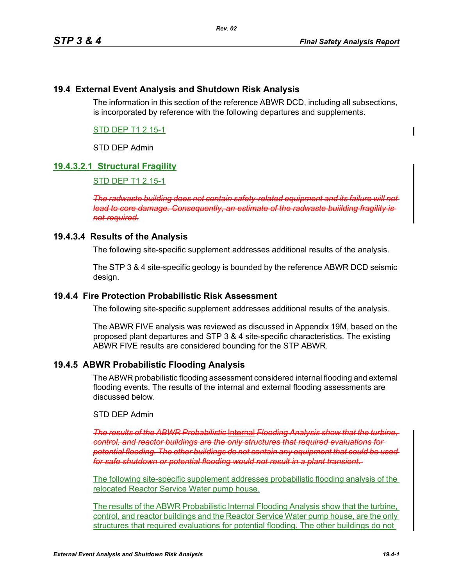## **19.4 External Event Analysis and Shutdown Risk Analysis**

The information in this section of the reference ABWR DCD, including all subsections, is incorporated by reference with the following departures and supplements.

# STD DEP T1 2.15-1

# STD DEP Admin

## **19.4.3.2.1 Structural Fragility**

#### STD DEP T1 2.15-1

*The radwaste building does not contain safety-related equipment and its failure will not lead to core damage. Consequently, an estimate of the radwaste buiilding fragility is not required.*

### **19.4.3.4 Results of the Analysis**

The following site-specific supplement addresses additional results of the analysis.

The STP 3 & 4 site-specific geology is bounded by the reference ABWR DCD seismic design.

### **19.4.4 Fire Protection Probabilistic Risk Assessment**

The following site-specific supplement addresses additional results of the analysis.

The ABWR FIVE analysis was reviewed as discussed in Appendix 19M, based on the proposed plant departures and STP 3 & 4 site-specific characteristics. The existing ABWR FIVE results are considered bounding for the STP ABWR.

### **19.4.5 ABWR Probabilistic Flooding Analysis**

The ABWR probabilistic flooding assessment considered internal flooding and external flooding events. The results of the internal and external flooding assessments are discussed below.

#### STD DEP Admin

*The results of the ABWR Probabilistic* Internal *Flooding Analysis show that the turbine, control, and reactor buildings are the only structures that required evaluations for potential flooding. The other buildings do not contain any equipment that could be used for safe shutdown or potential flooding would not result in a plant transient*.

The following site-specific supplement addresses probabilistic flooding analysis of the relocated Reactor Service Water pump house.

The results of the ABWR Probabilistic Internal Flooding Analysis show that the turbine, control, and reactor buildings and the Reactor Service Water pump house, are the only structures that required evaluations for potential flooding. The other buildings do not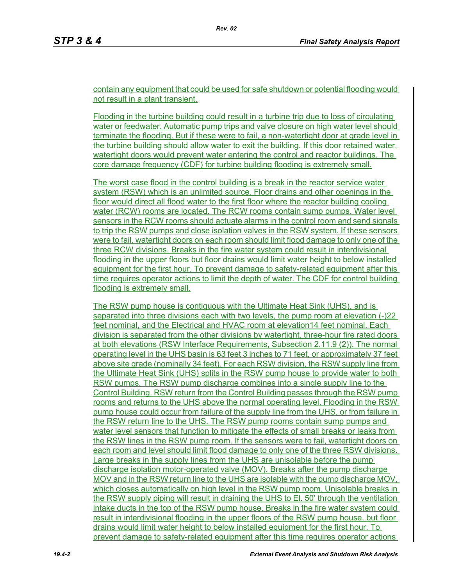contain any equipment that could be used for safe shutdown or potential flooding would not result in a plant transient.

Flooding in the turbine building could result in a turbine trip due to loss of circulating water or feedwater. Automatic pump trips and valve closure on high water level should terminate the flooding. But if these were to fail, a non-watertight door at grade level in the turbine building should allow water to exit the building. If this door retained water, watertight doors would prevent water entering the control and reactor buildings. The core damage frequency (CDF) for turbine building flooding is extremely small.

The worst case flood in the control building is a break in the reactor service water system (RSW) which is an unlimited source. Floor drains and other openings in the floor would direct all flood water to the first floor where the reactor building cooling water (RCW) rooms are located. The RCW rooms contain sump pumps. Water level sensors in the RCW rooms should actuate alarms in the control room and send signals to trip the RSW pumps and close isolation valves in the RSW system. If these sensors were to fail, watertight doors on each room should limit flood damage to only one of the three RCW divisions. Breaks in the fire water system could result in interdivisional flooding in the upper floors but floor drains would limit water height to below installed equipment for the first hour. To prevent damage to safety-related equipment after this time requires operator actions to limit the depth of water. The CDF for control building flooding is extremely small.

The RSW pump house is contiguous with the Ultimate Heat Sink (UHS), and is separated into three divisions each with two levels, the pump room at elevation (-)22 feet nominal, and the Electrical and HVAC room at elevation14 feet nominal. Each division is separated from the other divisions by watertight, three-hour fire rated doors at both elevations (RSW Interface Requirements, Subsection 2.11.9 (2)). The normal operating level in the UHS basin is 63 feet 3 inches to 71 feet, or approximately 37 feet above site grade (nominally 34 feet). For each RSW division, the RSW supply line from the Ultimate Heat Sink (UHS) splits in the RSW pump house to provide water to both RSW pumps. The RSW pump discharge combines into a single supply line to the Control Building. RSW return from the Control Building passes through the RSW pump rooms and returns to the UHS above the normal operating level. Flooding in the RSW pump house could occur from failure of the supply line from the UHS, or from failure in the RSW return line to the UHS. The RSW pump rooms contain sump pumps and water level sensors that function to mitigate the effects of small breaks or leaks from the RSW lines in the RSW pump room. If the sensors were to fail, watertight doors on each room and level should limit flood damage to only one of the three RSW divisions. Large breaks in the supply lines from the UHS are unisolable before the pump discharge isolation motor-operated valve (MOV). Breaks after the pump discharge MOV and in the RSW return line to the UHS are isolable with the pump discharge MOV, which closes automatically on high level in the RSW pump room. Unisolable breaks in the RSW supply piping will result in draining the UHS to El. 50' through the ventilation intake ducts in the top of the RSW pump house. Breaks in the fire water system could result in interdivisional flooding in the upper floors of the RSW pump house, but floor drains would limit water height to below installed equipment for the first hour. To prevent damage to safety-related equipment after this time requires operator actions